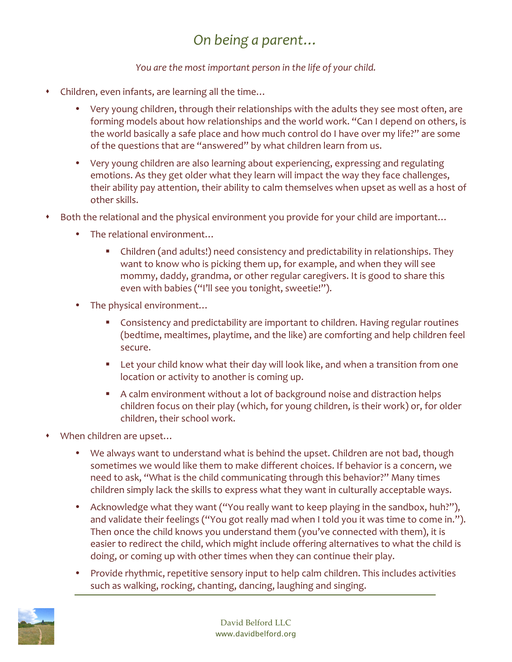## *On being a parent…*

## *You are the most important person in the life of your child.*

- Children, even infants, are learning all the time...
	- Very young children, through their relationships with the adults they see most often, are forming models about how relationships and the world work. "Can I depend on others, is the world basically a safe place and how much control do I have over my life?" are some of the questions that are "answered" by what children learn from us.
	- Very young children are also learning about experiencing, expressing and regulating emotions. As they get older what they learn will impact the way they face challenges, their ability pay attention, their ability to calm themselves when upset as well as a host of other skills.
- \* Both the relational and the physical environment you provide for your child are important...
	- The relational environment...
		- Children (and adults!) need consistency and predictability in relationships. They want to know who is picking them up, for example, and when they will see mommy, daddy, grandma, or other regular caregivers. It is good to share this even with babies ("I'll see you tonight, sweetie!").
	- The physical environment…
		- **•** Consistency and predictability are important to children. Having regular routines (bedtime, mealtimes, playtime, and the like) are comforting and help children feel secure.
		- Let your child know what their day will look like, and when a transition from one location or activity to another is coming up.
		- A calm environment without a lot of background noise and distraction helps children focus on their play (which, for young children, is their work) or, for older children, their school work.
- When children are upset...
	- We always want to understand what is behind the upset. Children are not bad, though sometimes we would like them to make different choices. If behavior is a concern, we need to ask, "What is the child communicating through this behavior?" Many times children simply lack the skills to express what they want in culturally acceptable ways.
	- Acknowledge what they want ("You really want to keep playing in the sandbox, huh?"), and validate their feelings ("You got really mad when I told you it was time to come in."). Then once the child knows you understand them (you've connected with them), it is easier to redirect the child, which might include offering alternatives to what the child is doing, or coming up with other times when they can continue their play.
	- Provide rhythmic, repetitive sensory input to help calm children. This includes activities such as walking, rocking, chanting, dancing, laughing and singing.